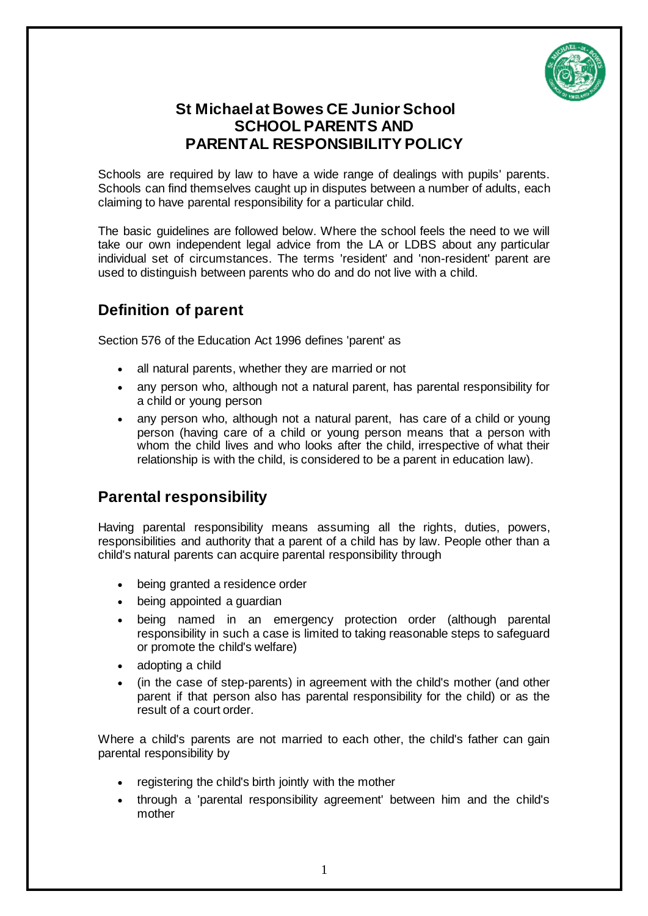

## **St Michael at Bowes CE Junior School SCHOOL PARENTS AND PARENTAL RESPONSIBILITY POLICY**

Schools are required by law to have a wide range of dealings with pupils' parents. Schools can find themselves caught up in disputes between a number of adults, each claiming to have parental responsibility for a particular child.

The basic guidelines are followed below. Where the school feels the need to we will take our own independent legal advice from the LA or LDBS about any particular individual set of circumstances. The terms 'resident' and 'non-resident' parent are used to distinguish between parents who do and do not live with a child.

# **Definition of parent**

Section 576 of the Education Act 1996 defines 'parent' as

- all natural parents, whether they are married or not
- any person who, although not a natural parent, has parental responsibility for a child or young person
- any person who, although not a natural parent, has care of a child or young person (having care of a child or young person means that a person with whom the child lives and who looks after the child, irrespective of what their relationship is with the child, is considered to be a parent in education law).

### **Parental responsibility**

Having parental responsibility means assuming all the rights, duties, powers, responsibilities and authority that a parent of a child has by law. People other than a child's natural parents can acquire parental responsibility through

- being granted a residence order
- being appointed a guardian
- being named in an emergency protection order (although parental responsibility in such a case is limited to taking reasonable steps to safeguard or promote the child's welfare)
- adopting a child
- (in the case of step-parents) in agreement with the child's mother (and other parent if that person also has parental responsibility for the child) or as the result of a court order.

Where a child's parents are not married to each other, the child's father can gain parental responsibility by

- registering the child's birth jointly with the mother
- through a 'parental responsibility agreement' between him and the child's mother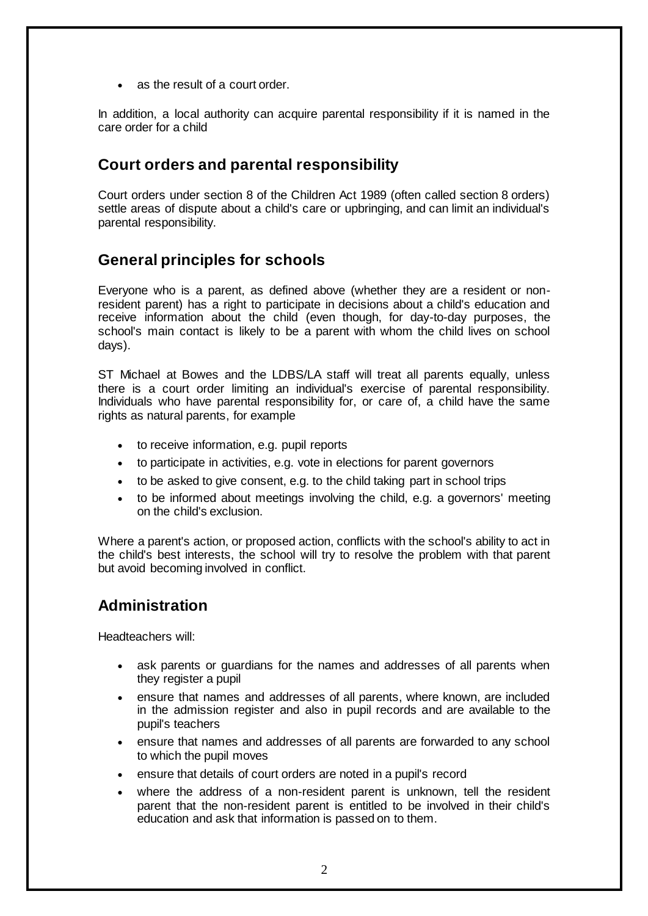• as the result of a court order.

In addition, a local authority can acquire parental responsibility if it is named in the care order for a child

#### **Court orders and parental responsibility**

Court orders under section 8 of the Children Act 1989 (often called section 8 orders) settle areas of dispute about a child's care or upbringing, and can limit an individual's parental responsibility.

#### **General principles for schools**

Everyone who is a parent, as defined above (whether they are a resident or nonresident parent) has a right to participate in decisions about a child's education and receive information about the child (even though, for day-to-day purposes, the school's main contact is likely to be a parent with whom the child lives on school days).

ST Michael at Bowes and the LDBS/LA staff will treat all parents equally, unless there is a court order limiting an individual's exercise of parental responsibility. Individuals who have parental responsibility for, or care of, a child have the same rights as natural parents, for example

- to receive information, e.g. pupil reports
- to participate in activities, e.g. vote in elections for parent governors
- to be asked to give consent, e.g. to the child taking part in school trips
- to be informed about meetings involving the child, e.g. a governors' meeting on the child's exclusion.

Where a parent's action, or proposed action, conflicts with the school's ability to act in the child's best interests, the school will try to resolve the problem with that parent but avoid becoming involved in conflict.

#### **Administration**

Headteachers will:

- ask parents or guardians for the names and addresses of all parents when they register a pupil
- ensure that names and addresses of all parents, where known, are included in the admission register and also in pupil records and are available to the pupil's teachers
- ensure that names and addresses of all parents are forwarded to any school to which the pupil moves
- ensure that details of court orders are noted in a pupil's record
- where the address of a non-resident parent is unknown, tell the resident parent that the non-resident parent is entitled to be involved in their child's education and ask that information is passed on to them.